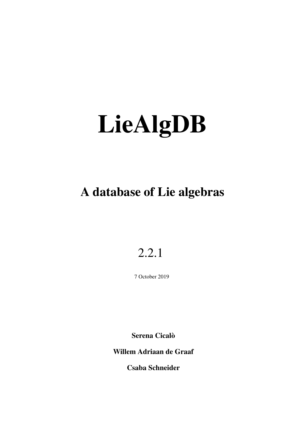# A database of Lie algebras

## 2.2.1

7 October 2019

Serena Cicalò

Willem Adriaan de Graaf

Csaba Schneider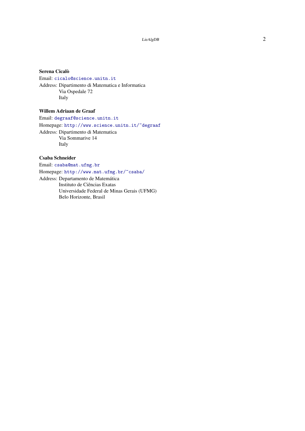#### Serena Cicalò

Email: [cicalo@science.unitn.it](mailto://cicalo@science.unitn.it) Address: Dipartimento di Matematica e Informatica Via Ospedale 72 Italy

#### Willem Adriaan de Graaf

Email: [degraaf@science.unitn.it](mailto://degraaf@science.unitn.it)

Homepage: <http://www.science.unitn.it/~degraaf> Address: Dipartimento di Matematica Via Sommarive 14 Italy

#### Csaba Schneider

Email: [csaba@mat.ufmg.br](mailto://csaba@mat.ufmg.br) Homepage: <http://www.mat.ufmg.br/~csaba/> Address: Departamento de Matemática Instituto de Ciências Exatas Universidade Federal de Minas Gerais (UFMG) Belo Horizonte, Brasil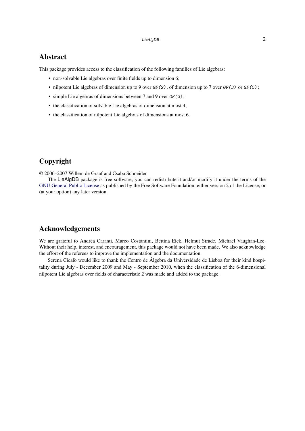#### Abstract

This package provides access to the classification of the following families of Lie algebras:

- non-solvable Lie algebras over finite fields up to dimension 6;
- nilpotent Lie algebras of dimension up to 9 over  $GF(2)$ , of dimension up to 7 over  $GF(3)$  or  $GF(5)$ ;
- simple Lie algebras of dimensions between 7 and 9 over  $GF(2)$ ;
- the classification of solvable Lie algebras of dimension at most 4;
- the classification of nilpotent Lie algebras of dimensions at most 6.

#### Copyright

© 2006–2007 Willem de Graaf and Csaba Schneider

The LieAlgDB package is free software; you can redistribute it and/or modify it under the terms of the [GNU General Public License](http://www.fsf.org/licenses/gpl.html) as published by the Free Software Foundation; either version 2 of the License, or (at your option) any later version.

#### Acknowledgements

We are grateful to Andrea Caranti, Marco Costantini, Bettina Eick, Helmut Strade, Michael Vaughan-Lee. Without their help, interest, and encouragement, this package would not have been made. We also acknowledge the effort of the referees to improve the implementation and the documentation.

Serena Cicalò would like to thank the Centro de Álgebra da Universidade de Lisboa for their kind hospitality during July - December 2009 and May - September 2010, when the classification of the 6-dimensional nilpotent Lie algebras over fields of characteristic 2 was made and added to the package.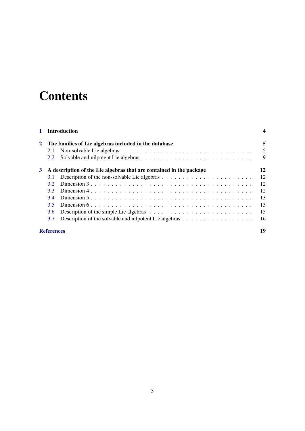# **Contents**

|   |                                                                     | <b>Introduction</b>                                                                                      |    |
|---|---------------------------------------------------------------------|----------------------------------------------------------------------------------------------------------|----|
|   |                                                                     | The families of Lie algebras included in the database                                                    | 5  |
|   | 2.1                                                                 |                                                                                                          | 5  |
|   | 2.2                                                                 |                                                                                                          | 9  |
| 3 | A description of the Lie algebras that are contained in the package |                                                                                                          | 12 |
|   | 3.1                                                                 |                                                                                                          | 12 |
|   | 32                                                                  | Dimension $3 \ldots \ldots \ldots \ldots \ldots \ldots \ldots \ldots \ldots \ldots \ldots \ldots \ldots$ | 12 |
|   | 33                                                                  |                                                                                                          | 12 |
|   | 34                                                                  |                                                                                                          | 13 |
|   | 35                                                                  |                                                                                                          | 13 |
|   | 3.6                                                                 | Description of the simple Lie algebras $\dots \dots \dots \dots \dots \dots \dots \dots \dots \dots$     | 15 |
|   | 3.7                                                                 | Description of the solvable and nilpotent Lie algebras $\dots \dots \dots \dots \dots \dots$             | 16 |
|   | <b>References</b>                                                   |                                                                                                          | 19 |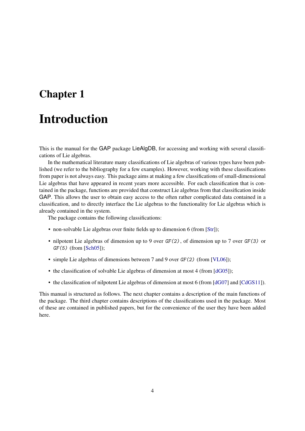### <span id="page-4-1"></span><span id="page-4-0"></span>Chapter 1

### Introduction

This is the manual for the GAP package LieAlgDB, for accessing and working with several classifications of Lie algebras.

In the mathematical literature many classifications of Lie algebras of various types have been published (we refer to the bibliography for a few examples). However, working with these classifications from paper is not always easy. This package aims at making a few classifications of small-dimensional Lie algebras that have appeared in recent years more accessible. For each classification that is contained in the package, functions are provided that construct Lie algebras from that classification inside GAP. This allows the user to obtain easy access to the often rather complicated data contained in a classification, and to directly interface the Lie algebras to the functionality for Lie algebras which is already contained in the system.

The package contains the following classifications:

- non-solvable Lie algebras over finite fields up to dimension 6 (from [\[Str\]](#page-19-1));
- nilpotent Lie algebras of dimension up to 9 over  $GF(2)$ , of dimension up to 7 over  $GF(3)$  or  $GF(5)$  (from [\[Sch05\]](#page-19-2));
- simple Lie algebras of dimensions between 7 and 9 over GF(2) (from [\[VL06\]](#page-19-3));
- the classification of solvable Lie algebras of dimension at most 4 (from [\[dG05\]](#page-19-4));
- the classification of nilpotent Lie algebras of dimension at most 6 (from [\[dG07\]](#page-19-5) and [\[CdGS11\]](#page-19-6)).

This manual is structured as follows. The next chapter contains a description of the main functions of the package. The third chapter contains descriptions of the classifications used in the package. Most of these are contained in published papers, but for the convenience of the user they have been added here.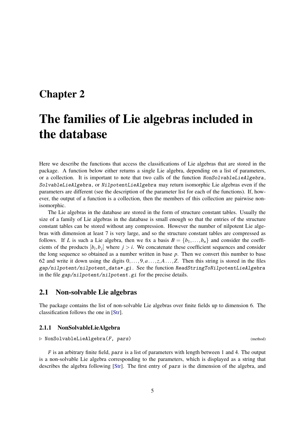### <span id="page-5-2"></span><span id="page-5-0"></span>Chapter 2

## The families of Lie algebras included in the database

Here we describe the functions that access the classifications of Lie algebras that are stored in the package. A function below either returns a single Lie algebra, depending on a list of parameters, or a collection. It is important to note that two calls of the function NonSolvableLieAlgebra, SolvableLieAlgebra, or NilpotentLieAlgebra may return isomorphic Lie algebras even if the parameters are different (see the description of the parameter list for each of the functions). If, however, the output of a function is a collection, then the members of this collection are pairwise nonisomorphic.

The Lie algebras in the database are stored in the form of structure constant tables. Usually the size of a family of Lie algebras in the database is small enough so that the entries of the structure constant tables can be stored without any compression. However the number of nilpotent Lie algebras with dimension at least 7 is very large, and so the structure constant tables are compressed as follows. If *L* is such a Lie algebra, then we fix a basis  $B = \{b_1, \ldots, b_n\}$  and consider the coefficients of the products  $[b_i, b_j]$  where  $j > i$ . We concatenate these coefficient sequences and consider the long sequence so obtained as a number written in base *p*. Then we convert this number to base 62 and write it down using the digits 0,...,9,*a*...,*z*,*A*...,*Z*. Then this string is stored in the files gap/nilpotent/nilpotent\_data\*.gi . See the function ReadStringToNilpotentLieAlgebra in the file gap/nilpotent/nilpotent.gi for the precise details.

#### <span id="page-5-1"></span>2.1 Non-solvable Lie algebras

The package contains the list of non-solvable Lie algebras over finite fields up to dimension 6. The classification follows the one in [\[Str\]](#page-19-1).

#### 2.1.1 NonSolvableLieAlgebra

#### $\triangleright$  NonSolvableLieAlgebra(F, pars) (method) (method)

F is an arbitrary finite field, pars is a list of parameters with length between 1 and 4. The output is a non-solvable Lie algebra corresponding to the parameters, which is displayed as a string that describes the algebra following [\[Str\]](#page-19-1). The first entry of pars is the dimension of the algebra, and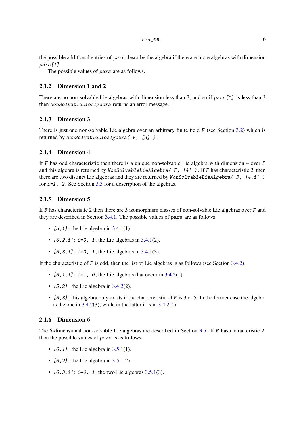the possible additional entries of pars describe the algebra if there are more algebras with dimension pars[1].

The possible values of pars are as follows.

#### 2.1.2 Dimension 1 and 2

There are no non-solvable Lie algebras with dimension less than 3, and so if pars [1] is less than 3 then NonSolvableLieAlgebra returns an error message.

#### 2.1.3 Dimension 3

There is just one non-solvable Lie algebra over an arbitrary finite field F (see Section [3.2\)](#page-12-2) which is returned by NonSolvableLieAlgebra( F, [3] ) .

#### 2.1.4 Dimension 4

If F has odd characteristic then there is a unique non-solvable Lie algebra with dimension 4 over  $F$ and this algebra is returned by NonSolvableLieAlgebra (F, [4]). If F has characteristic 2, then there are two distinct Lie algebras and they are returned by  $N \text{on} \text{Solvable LieAlgebra}$  (F, [4, i]) for  $i=1$ , 2. See Section [3.3](#page-12-3) for a description of the algebras.

#### 2.1.5 Dimension 5

If  $F$  has characteristic 2 then there are 5 isomorphism classes of non-solvable Lie algebras over  $F$  and they are described in Section [3.4.1.](#page-13-2) The possible values of pars are as follows.

- $[5, 1]$ : the Lie algebra in [3.4.1\(](#page-13-2)1).
- $[5, 2, i]$ :  $i=0$ , 1; the Lie algebras in [3.4.1\(](#page-13-2)2).
- $[5,3,i]$ :  $i=0$ , 1; the Lie algebras in [3.4.1\(](#page-13-2)3).

If the characteristic of  $F$  is odd, then the list of Lie algebras is as follows (see Section [3.4.2\)](#page-13-3).

- $[5, 1, i]$ :  $i=1$ , 0; the Lie algebras that occur in [3.4.2\(](#page-13-3)1).
- $[5, 2]$ : the Lie algebra in [3.4.2\(](#page-13-3)2).
- $[5,3]$ : this algebra only exists if the characteristic of F is 3 or 5. In the former case the algebra is the one in [3.4.2\(](#page-13-3)3), while in the latter it is in [3.4.2\(](#page-13-3)4).

#### 2.1.6 Dimension 6

The 6-dimensional non-solvable Lie algebras are described in Section [3.5.](#page-13-1) If F has characteristic 2, then the possible values of pars is as follows.

- $[6, 1]$ : the Lie algebra in [3.5.1\(](#page-13-4)1).
- $[6, 2]$ : the Lie algebra in [3.5.1\(](#page-13-4)2).
- $[6, 3, i]$ :  $i=0, 1$ ; the two Lie algebras [3.5.1\(](#page-13-4)3).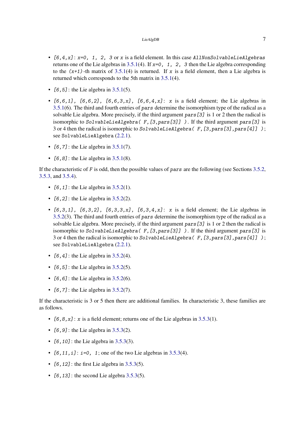- $[6,4,x]$ :  $x=0$ , 1, 2, 3 or x is a field element. In this case AllNonSolvableLieAlgebras returns one of the Lie algebras in [3.5.1\(](#page-13-4)4). If  $x=0$ , 1, 2, 3 then the Lie algebra corresponding to the  $(x+1)$ -th matrix of [3.5.1\(](#page-13-4)4) is returned. If x is a field element, then a Lie algebra is returned which corresponds to the 5th matrix in [3.5.1\(](#page-13-4)4).
- $[6, 5]$ : the Lie algebra in [3.5.1\(](#page-13-4)5).
- $[6, 6, 1]$ ,  $[6, 6, 2]$ ,  $[6, 6, 3, x]$ ,  $[6, 6, 4, x]$ : x is a field element; the Lie algebras in [3.5.1\(](#page-13-4)6). The third and fourth entries of pars determine the isomorphism type of the radical as a solvable Lie algebra. More precisely, if the third argument pars[3] is 1 or 2 then the radical is isomorphic to SolvableLieAlgebra( $F$ , [3, pars[3]]). If the third argument pars[3] is 3 or 4 then the radical is isomorphic to SolvableLieAlgebra (F, [3, pars[3], pars[4]] ); see SolvableLieAlgebra [\(2.2.1\)](#page-9-1).
- $[6, 7]$ : the Lie algebra in [3.5.1\(](#page-13-4)7).
- $[6, 8]$ : the Lie algebra in [3.5.1\(](#page-13-4)8).

If the characteristic of F is odd, then the possible values of pars are the following (see Sections [3.5.2,](#page-14-0) [3.5.3,](#page-14-1) and [3.5.4\)](#page-15-1).

- $[6, 1]$ : the Lie algebra in [3.5.2\(](#page-14-0)1).
- $[6, 2]$ : the Lie algebra in [3.5.2\(](#page-14-0)2).
- $[6,3,1]$ ,  $[6,3,2]$ ,  $[6,3,3,x]$ ,  $[6,3,4,x]$ : x is a field element; the Lie algebras in [3.5.2\(](#page-14-0)3). The third and fourth entries of pars determine the isomorphism type of the radical as a solvable Lie algebra. More precisely, if the third argument pars[3] is 1 or 2 then the radical is isomorphic to SolvableLieAlgebra(  $F$ , [3, pars[3]] ). If the third argument pars[3] is 3 or 4 then the radical is isomorphic to SolvableLieAlgebra (F, [3, pars[3], pars[4]] ); see SolvableLieAlgebra [\(2.2.1\)](#page-9-1).
- $[6, 4]$ : the Lie algebra in [3.5.2\(](#page-14-0)4).
- $[6, 5]$ : the Lie algebra in [3.5.2\(](#page-14-0)5).
- $[6, 6]$ : the Lie algebra in [3.5.2\(](#page-14-0)6).
- $[6, 7]$ : the Lie algebra in [3.5.2\(](#page-14-0)7).

If the characteristic is 3 or 5 then there are additional families. In characteristic 3, these families are as follows.

- $[6,8,x]$ : x is a field element; returns one of the Lie algebras in [3.5.3\(](#page-14-1)1).
- $[6, 9]$ : the Lie algebra in [3.5.3\(](#page-14-1)2).
- $[6, 10]$ : the Lie algebra in [3.5.3\(](#page-14-1)3).
- $[6, 11, i]$ :  $i=0, 1$ ; one of the two Lie algebras in [3.5.3\(](#page-14-1)4).
- $[6, 12]$ : the first Lie algebra in [3.5.3\(](#page-14-1)5).
- $[6, 13]$ : the second Lie algebra [3.5.3\(](#page-14-1)5).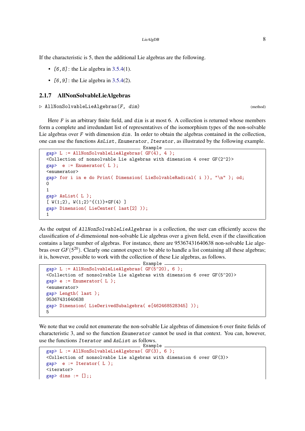If the characteristic is 5, then the additional Lie algebras are the following.

- $[6, 8]$ : the Lie algebra in [3.5.4\(](#page-15-1)1).
- $[6, 9]$ : the Lie algebra in [3.5.4\(](#page-15-1)2).

#### 2.1.7 AllNonSolvableLieAlgebras

 $\triangleright$  AllNonSolvableLieAlgebras( $F$ , dim) (method) (method)

Here  $F$  is an arbitrary finite field, and  $dim$  is at most 6. A collection is returned whose members form a complete and irredundant list of representatives of the isomorphism types of the non-solvable Lie algebras over  $F$  with dimension  $\dim$ . In order to obtain the algebras contained in the collection, one can use the functions AsList, Enumerator, Iterator, as illustrated by the following example.

```
Example
gap> L := AllNonSolvableLieAlgebras( GF(4), 4 );
<Collection of nonsolvable Lie algebras with dimension 4 over GF(2^2)>
gap> e := Enumerator( L );
<enumerator>
gap> for i in e do Print( Dimension( LieSolvableRadical( i )), "\n" ); od;
\Omega1
gap> AsList( L );
[V(1;2), W(1;2)^(1)]+GF(4) ]gap> Dimension( LieCenter( last[2] ));
1
```
As the output of AllNonSolvableLieAlgebras is a collection, the user can efficiently access the classification of *d*-dimensional non-solvable Lie algebras over a given field, even if the classification contains a large number of algebras. For instance, there are 95367431640638 non-solvable Lie algebras over  $GF(5^{20})$ . Clearly one cannot expect to be able to handle a list containing all these algebras; it is, however, possible to work with the collection of these Lie algebras, as follows.

```
Example
gap> L := AllNonSolvableLieAlgebras( GF(5^20), 6 );
<Collection of nonsolvable Lie algebras with dimension 6 over GF(5^20)>
gap > e := Enumerator(L);
<enumerator>
gap> Length( last );
95367431640638
gap> Dimension( LieDerivedSubalgebra( e[462468528345] ));
5
```
We note that we could not enumerate the non-solvable Lie algebras of dimension 6 over finite fields of characteristic 3, and so the function Enumerator cannot be used in that context. You can, however, use the functions Iterator and AsList as follows.

```
Example
gap> L := AllNonSolvableLieAlgebras(GF(3), 6);
<Collection of nonsolvable Lie algebras with dimension 6 over GF(3)>
gap> e := Iterator( L );
<iterator>
gap dims := [];;
```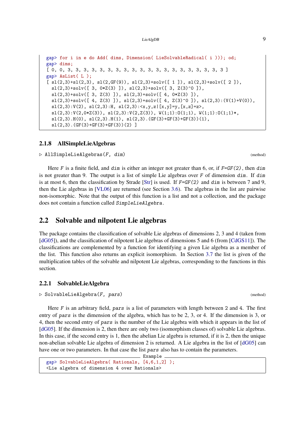```
gap> for i in e do Add( dims, Dimension( LieSolvableRadical( i ))); od;
gap> dims;
[ 0, 0, 3, 3, 3, 3, 3, 3, 3, 3, 3, 3, 3, 3, 3, 3, 3, 3, 3, 3, 3, 3 ]
gap> AsList( L );
\lceil sl(2,3)+sl(2,3), sl(2,GF(9)), sl(2,3)+solv(\lceil 1]), sl(2,3)+solv(\lceil 2]),
  sl(2,3)+solv([3, 0*Z(3)]), sl(2,3)+solv([3, Z(3)^c0]),sl(2,3)+solv([ 3, Z(3) ]), sl(2,3)+solv([ 4, 0*Z(3) ]),
  sl(2,3)+solv([ 4,  Z(3) ]), sl(2,3)+solv([ 4,  Z(3)\textsuperscript{\frown}0 ]), sl(2,3):(V(1)+V(0)),sl(2,3):V(2), sl(2,3):H, sl(2,3):<x,y,z|[x,y]=y,[x,z]=z>,
  s1(2,3):V(2,0*Z(3)), s1(2,3):V(2,Z(3)), W(1;1):O(1;1), W(1;1):O(1;1)*,
  sl(2,3).H(0), sl(2,3).H(1), sl(2,3).(GF(3)+GF(3)+GF(3))(1),
  sl(2,3). (GF(3)+GF(3)+GF(3))(2) ]
```
#### 2.1.8 AllSimpleLieAlgebras

 $\triangleright$  AllSimpleLieAlgebras(F, dim) (method) (method)

Here F is a finite field, and dim is either an integer not greater than 6, or, if  $F=GF(2)$ , then dim is not greater than 9. The output is a list of simple Lie algebras over F of dimension dim. If dim is at most 6, then the classification by Strade [\[Str\]](#page-19-1) is used. If  $F=GF(2)$  and dim is between 7 and 9, then the Lie algebras in [\[VL06\]](#page-19-3) are returned (see Section [3.6\)](#page-15-0). The algebras in the list are pairwise non-isomorphic. Note that the output of this function is a list and not a collection, and the package does not contain a function called SimpleLieAlgebra.

#### <span id="page-9-0"></span>2.2 Solvable and nilpotent Lie algebras

The package contains the classification of solvable Lie algebras of dimensions 2, 3 and 4 (taken from [\[dG05\]](#page-19-4)), and the classification of nilpotent Lie algebras of dimensions 5 and 6 (from [\[CdGS11\]](#page-19-6)). The classifications are complemented by a function for identifying a given Lie algebra as a member of the list. This function also returns an explicit isomorphism. In Section [3.7](#page-16-0) the list is given of the multiplication tables of the solvable and nilpotent Lie algebras, corresponding to the functions in this section.

#### <span id="page-9-1"></span>2.2.1 SolvableLieAlgebra

```
. SolvableLieAlgebra(F, pars) (method)
```
Here F is an arbitrary field, pars is a list of parameters with length between 2 and 4. The first entry of pars is the dimension of the algebra, which has to be 2, 3, or 4. If the dimension is 3, or 4, then the second entry of pars is the number of the Lie algebra with which it appears in the list of [\[dG05\]](#page-19-4). If the dimension is 2, then there are only two (isomorphism classes of) solvable Lie algebras. In this case, if the second entry is 1, then the abelian Lie algebra is returned, if it is 2, then the unique non-abelian solvable Lie algebra of dimension 2 is returned. A Lie algebra in the list of [\[dG05\]](#page-19-4) can have one or two parameters. In that case the list pars also has to contain the parameters.

```
Example
gap> SolvableLieAlgebra( Rationals, [4,6,1,2] );
<Lie algebra of dimension 4 over Rationals>
```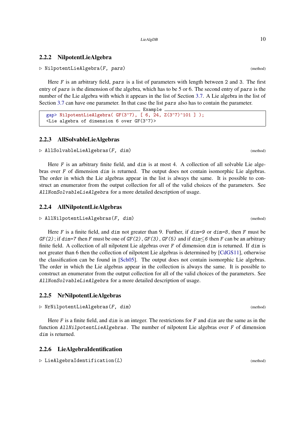#### <span id="page-10-0"></span>2.2.2 NilpotentLieAlgebra

 $\triangleright$  NilpotentLieAlgebra(F, pars) (method)

Here F is an arbitrary field, pars is a list of parameters with length between 2 and 3. The first entry of pars is the dimension of the algebra, which has to be 5 or 6. The second entry of pars is the number of the Lie algebra with which it appears in the list of Section [3.7.](#page-16-0) A Lie algebra in the list of Section [3.7](#page-16-0) can have one parameter. In that case the list pars also has to contain the parameter.

<sub>-</sub> Example

```
gap> NilpotentLieAlgebra( GF(3^7), [ 6, 24, Z(3^7)^101 ] );
<Lie algebra of dimension 6 over GF(3^7)>
```
#### 2.2.3 AllSolvableLieAlgebras

 $\triangleright$  AllSolvableLieAlgebras( $F$ , dim) (method) (method)

Here F is an arbitrary finite field, and dim is at most 4. A collection of all solvable Lie algebras over F of dimension dim is returned. The output does not contain isomorphic Lie algebras. The order in which the Lie algebras appear in the list is always the same. It is possible to construct an enumerator from the output collection for all of the valid choices of the parameters. See AllNonSolvableLieAlgebra for a more detailed description of usage.

#### 2.2.4 AllNilpotentLieAlgebras

```
\triangleright AllNilpotentLieAlgebras(F, dim) (method)
```
Here F is a finite field, and dim not greater than 9. Further, if  $\dim=9$  or  $\dim=8$ , then F must be  $GF(2)$ ; if dim=7 then F must be one of  $GF(2)$ ,  $GF(3)$ ,  $GF(5)$  and if dim  $\leq 6$  then F can be an arbitrary finite field. A collection of all nilpotent Lie algebras over F of dimension dim is returned. If dim is not greater than 6 then the collection of nilpotent Lie algebras is determined by [\[CdGS11\]](#page-19-6), otherwise the classification can be found in [\[Sch05\]](#page-19-2). The output does not contain isomorphic Lie algebras. The order in which the Lie algebras appear in the collection is always the same. It is possible to construct an enumerator from the output collection for all of the valid choices of the parameters. See AllNonSolvableLieAlgebra for a more detailed description of usage.

#### 2.2.5 NrNilpotentLieAlgebras

```
\triangleright NrNilpotentLieAlgebras(F, dim) (method) (method)
```
Here F is a finite field, and  $dim$  is an integer. The restrictions for F and  $dim$  are the same as in the function AllNilpotentLieAlgebras. The number of nilpotent Lie algebras over F of dimension dim is returned.

#### 2.2.6 LieAlgebraIdentification

```
\triangleright LieAlgebraIdentification(L) (method)
```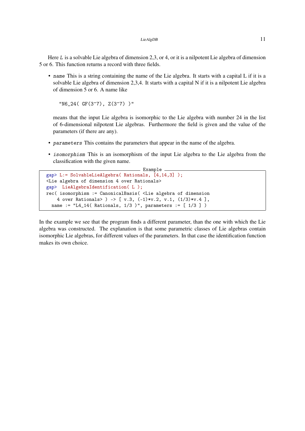Here L is a solvable Lie algebra of dimension 2,3, or 4, or it is a nilpotent Lie algebra of dimension 5 or 6. This function returns a record with three fields.

• name This is a string containing the name of the Lie algebra. It starts with a capital L if it is a solvable Lie algebra of dimension 2,3,4. It starts with a capital N if it is a nilpotent Lie algebra of dimension 5 or 6. A name like

"N6\_24( GF(3^7), Z(3^7) )"

means that the input Lie algebra is isomorphic to the Lie algebra with number 24 in the list of 6-dimensional nilpotent Lie algebras. Furthermore the field is given and the value of the parameters (if there are any).

- parameters This contains the parameters that appear in the name of the algebra.
- isomorphism This is an isomorphism of the input Lie algebra to the Lie algebra from the classification with the given name.

```
\_ Example \_gap> L:= SolvableLieAlgebra( Rationals, [4,14,3] );
<Lie algebra of dimension 4 over Rationals>
gap> LieAlgebraIdentification( L );
rec( isomorphism := CanonicalBasis( <Lie algebra of dimension
    4 over Rationals> ) -> [ v.3, (-1)*v.2, v.1, (1/3)*v.4 ],
  name := "L4_14( Rationals, 1/3 )", parameters := [ 1/3 ] )
```
In the example we see that the program finds a different parameter, than the one with which the Lie algebra was constructed. The explanation is that some parametric classes of Lie algebras contain isomorphic Lie algebras, for different values of the parameters. In that case the identification function makes its own choice.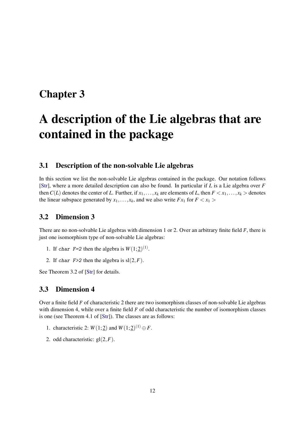### <span id="page-12-4"></span><span id="page-12-0"></span>Chapter 3

# A description of the Lie algebras that are contained in the package

#### <span id="page-12-1"></span>3.1 Description of the non-solvable Lie algebras

In this section we list the non-solvable Lie algebras contained in the package. Our notation follows [\[Str\]](#page-19-1), where a more detailed description can also be found. In particular if *L* is a Lie algebra over *F* then  $C(L)$  denotes the center of *L*. Further, if  $x_1, \ldots, x_k$  are elements of *L*, then  $F \le x_1, \ldots, x_k$  > denotes the linear subspace generated by  $x_1, \ldots, x_k$ , and we also write  $Fx_1$  for  $F < x_1$ 

#### <span id="page-12-2"></span>3.2 Dimension 3

There are no non-solvable Lie algebras with dimension 1 or 2. Over an arbitrary finite field F, there is just one isomorphism type of non-solvable Lie algebras:

- 1. If char  $F=2$  then the algebra is  $W(1; 2)^{(1)}$ .
- 2. If char  $F>2$  then the algebra is  $sl(2, F)$ .

See Theorem 3.2 of [\[Str\]](#page-19-1) for details.

#### <span id="page-12-3"></span>3.3 Dimension 4

Over a finite field F of characteristic 2 there are two isomorphism classes of non-solvable Lie algebras with dimension 4, while over a finite field  $F$  of odd characteristic the number of isomorphism classes is one (see Theorem 4.1 of [\[Str\]](#page-19-1)). The classes are as follows:

- 1. characteristic 2:  $W(1; 2)$  and  $W(1; 2)^{(1)} \oplus F$ .
- 2. odd characteristic:  $gl(2, F)$ .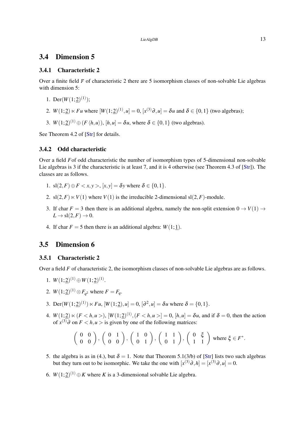#### <span id="page-13-5"></span><span id="page-13-0"></span>3.4 Dimension 5

#### <span id="page-13-2"></span>3.4.1 Characteristic 2

Over a finite field F of characteristic 2 there are 5 isomorphism classes of non-solvable Lie algebras with dimension 5:

- 1. Der( $W(1; 2)^{(1)}$ );
- 2.  $W(1; 2) \ltimes Fu$  where  $[W(1; 2)^{(1)}, u] = 0$ ,  $[x^{(3)}\partial, u] = \delta u$  and  $\delta \in \{0, 1\}$  (two algebras);
- 3.  $W(1;\underline{2})^{(1)} \oplus (F \langle h, u \rangle), [h, u] = \delta u$ , where  $\delta \in \{0, 1\}$  (two algebras).

See Theorem 4.2 of [\[Str\]](#page-19-1) for details.

#### <span id="page-13-3"></span>3.4.2 Odd characteristic

Over a field *F*of odd characteristic the number of isomorphism types of 5-dimensional non-solvable Lie algebras is 3 if the characteristic is at least 7, and it is 4 otherwise (see Theorem 4.3 of [\[Str\]](#page-19-1)). The classes are as follows.

- 1. sl(2, *F*)  $\oplus$  *F* < *x*, *y* >, [*x*, *y*] =  $\delta$ *y* where  $\delta$   $\in$  {0, 1}.
- 2. sl $(2, F) \ltimes V(1)$  where  $V(1)$  is the irreducible 2-dimensional sl $(2, F)$ -module.
- 3. If char  $F = 3$  then there is an additional algebra, namely the non-split extension  $0 \rightarrow V(1) \rightarrow$  $L \rightarrow sl(2, F) \rightarrow 0.$
- 4. If char  $F = 5$  then there is an additional algebra:  $W(1; 1)$ .

#### <span id="page-13-1"></span>3.5 Dimension 6

#### <span id="page-13-4"></span>3.5.1 Characteristic 2

Over a field *F* of characteristic 2, the isomorphism classes of non-solvable Lie algebras are as follows.

- 1.  $W(1; 2)^{(1)} \oplus W(1; 2)^{(1)}$ .
- 2.  $W(1;2)^{(1)} \otimes F_{q^2}$  where  $F = F_q$ .
- 3. Der( $W(1; 2)^{(1)}$ )  $\ltimes Fu$ ,  $[W(1; 2), u] = 0$ ,  $[\partial^2, u] = \delta u$  where  $\delta = \{0, 1\}$ .
- 4.  $W(1; 2) \ltimes (F \lt h, u >), [W(1; 2)^{(1)}, (F \lt h, u >] = 0, [h, u] = \delta u$ , and if  $\delta = 0$ , then the action of  $x^{(3)}$ ∂ on  $F < h, u >$  is given by one of the following matrices:

$$
\left(\begin{array}{cc}0 & 0\\0 & 0\end{array}\right), \left(\begin{array}{cc}0 & 1\\0 & 0\end{array}\right), \left(\begin{array}{cc}1 & 0\\0 & 1\end{array}\right), \left(\begin{array}{cc}1 & 1\\0 & 1\end{array}\right), \left(\begin{array}{cc}0 & \xi\\1 & 1\end{array}\right) \text{ where } \xi \in F^*.
$$

- 5. the algebra is as in (4.), but  $\delta = 1$ . Note that Theorem 5.1(3/b) of [\[Str\]](#page-19-1) lists two such algebras but they turn out to be isomorphic. We take the one with  $[x^{(3)}\partial, h] = [x^{(3)}\partial, u] = 0$ .
- 6.  $W(1; 2)^{(1)} \oplus K$  where *K* is a 3-dimensional solvable Lie algebra.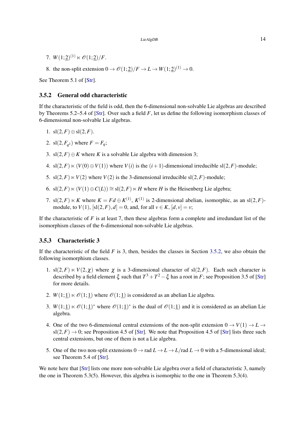- <span id="page-14-2"></span>7.  $W(1;2)^{(1)} \ltimes \mathcal{O}(1;2)/F$ .
- 8. the non-split extension  $0 \to \mathcal{O}(1;\underline{2})/F \to L \to W(1;\underline{2})^{(1)} \to 0$ .

See Theorem 5.1 of [\[Str\]](#page-19-1).

#### <span id="page-14-0"></span>3.5.2 General odd characteristic

If the characteristic of the field is odd, then the 6-dimensional non-solvable Lie algebras are described by Theorems 5.2–5.4 of [\[Str\]](#page-19-1). Over such a field *F*, let us define the following isomorphism classes of 6-dimensional non-solvable Lie algebras.

- 1. sl $(2, F) \oplus$ sl $(2, F)$ .
- 2. sl $(2, F_{q^2})$  where  $F = F_q$ ;
- 3. sl $(2, F) \oplus K$  where *K* is a solvable Lie algebra with dimension 3;
- 4. sl $(2,F) \ltimes (V(0) \oplus V(1))$  where  $V(i)$  is the  $(i+1)$ -dimensional irreducible sl $(2,F)$ -module;
- 5. sl $(2, F) \ltimes V(2)$  where  $V(2)$  is the 3-dimensional irreducible sl $(2, F)$ -module;
- 6. sl(2,*F*)  $\ltimes$  (*V*(1) ⊕ *C*(*L*)) ≅ sl(2,*F*)  $\ltimes$  *H* where *H* is the Heisenberg Lie algebra;
- 7. sl $(2, F) \ltimes K$  where  $K = Fd \oplus K^{(1)}$ ,  $K^{(1)}$  is 2-dimensional abelian, isomorphic, as an sl $(2, F)$ module, to *V*(1),  $[sI(2, F), d] = 0$ , and, for all  $v \in K$ ,  $[d, v] = v$ ;

If the characteristic of  $F$  is at least 7, then these algebras form a complete and irredundant list of the isomorphism classes of the 6-dimensional non-solvable Lie algebras.

#### <span id="page-14-1"></span>3.5.3 Characteristic 3

If the characteristic of the field  $F$  is 3, then, besides the classes in Section [3.5.2,](#page-14-0) we also obtain the following isomorphism classes.

- 1. sl $(2, F) \lt V(2, \chi)$  where  $\chi$  is a 3-dimensional character of sl $(2, F)$ . Each such character is described by a field element  $\xi$  such that  $T^3 + T^2 - \xi$  has a root in *F*; see Proposition 3.5 of [\[Str\]](#page-19-1) for more details.
- 2. *W*(1; <u>1</u>)  $\ltimes \mathcal{O}(1; 1)$  where  $\mathcal{O}(1; 1)$  is considered as an abelian Lie algebra.
- 3.  $W(1; \underline{1}) \ltimes \mathcal{O}(1; \underline{1})^*$  where  $\mathcal{O}(1; \underline{1})^*$  is the dual of  $\mathcal{O}(1; \underline{1})$  and it is considered as an abelian Lie algebra.
- 4. One of the two 6-dimensional central extensions of the non-split extension  $0 \rightarrow V(1) \rightarrow L \rightarrow$  $sl(2, F) \rightarrow 0$ ; see Proposition 4.5 of [\[Str\]](#page-19-1). We note that Proposition 4.5 of [Str] lists three such central extensions, but one of them is not a Lie algebra.
- 5. One of the two non-split extensions  $0 \to \text{rad } L \to L \to L/\text{rad } L \to 0$  with a 5-dimensional ideal; see Theorem 5.4 of [\[Str\]](#page-19-1).

We note here that [\[Str\]](#page-19-1) lists one more non-solvable Lie algebra over a field of characteristic 3, namely the one in Theorem 5.3(5). However, this algebra is isomorphic to the one in Theorem 5.3(4).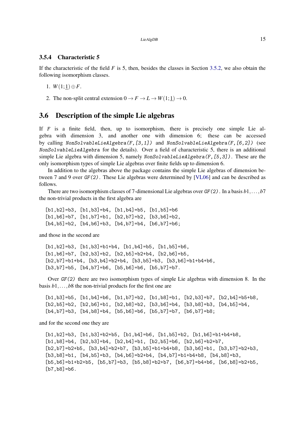#### <span id="page-15-2"></span><span id="page-15-1"></span>3.5.4 Characteristic 5

If the characteristic of the field  $F$  is 5, then, besides the classes in Section [3.5.2,](#page-14-0) we also obtain the following isomorphism classes.

1.  $W(1; 1) \oplus F$ .

2. The non-split central extension  $0 \to F \to L \to W(1; 1) \to 0$ .

#### <span id="page-15-0"></span>3.6 Description of the simple Lie algebras

If F is a finite field, then, up to isomorphism, there is precisely one simple Lie algebra with dimension 3, and another one with dimension 6; these can be accessed by calling NonSolvableLieAlgebra(F,[3,1]) and NonSolvableLieAlgebra(F,[6,2]) (see NonSolvableLieAlgebra for the details). Over a field of characteristic 5, there is an additional simple Lie algebra with dimension 5, namely NonSolvableLieAlgebra(F,[5,3]) . These are the only isomorphism types of simple Lie algebras over finite fields up to dimension 6.

In addition to the algebras above the package contains the simple Lie algebras of dimension between 7 and 9 over GF(2). These Lie algebras were determined by [\[VL06\]](#page-19-3) and can be described as follows.

There are two isomorphism classes of 7-dimensional Lie algebras over GF(2). In a basis *b*1,...,*b*7 the non-trivial products in the first algebra are

[b1,b2]=b3, [b1,b3]=b4, [b1,b4]=b5, [b1,b5]=b6  $[b1, b6] = b7$ ,  $[b1, b7] = b1$ ,  $[b2, b7] = b2$ ,  $[b3, b6] = b2$  $[b4, b5] = b2$ ,  $[b4, b6] = b3$ ,  $[b4, b7] = b4$ ,  $[b6, b7] = b6$ ;

and those in the second are

[b1,b2]=b3, [b1,b3]=b1+b4, [b1,b4]=b5, [b1,b5]=b6,  $[b1,b6]=b7$ ,  $[b2,b3]=b2$ ,  $[b2,b5]=b2+b4$ ,  $[b2,b6]=b5$ ,  $[b2,b7]=b1+b4$ ,  $[b3,b4]=b2+b4$ ,  $[b3,b5]=b3$ ,  $[b3,b6]=b1+b4+b6$ , [b3,b7]=b5, [b4,b7]=b6, [b5,b6]=b6, [b5,b7]=b7.

Over GF(2) there are two isomorphism types of simple Lie algebras with dimension 8. In the basis *b*1,...,*b*8 the non-trivial products for the first one are

```
[b1,b3]=b5, [b1,b4]=b6, [b1,b7]=b2, [b1,b8]=b1, [b2,b3]=b7, [b2,b4]=b5+b8,
[b2,b5]=b2, [b2,b6]=b1, [b2,b8]=b2, [b3,b6]=b4, [b3,b8]=b3, [b4,b5]=b4,
[b4, b7] = b3, [b4, b8] = b4, [b5, b6] = b6, [b5, b7] = b7, [b6, b7] = b8;
```
and for the second one they are

 $[b1,b2]=b3$ ,  $[b1,b3]=b2+b5$ ,  $[b1,b4]=b6$ ,  $[b1,b5]=b2$ ,  $[b1,b6]=b1+b4+b8$ ,  $[b1,b8]=b4$ ,  $[b2,b3]=b4$ ,  $[b2,b4]=b1$ ,  $[b2,b5]=b6$ ,  $[b2,b6]=b2+b7$ ,  $[b2,b7]=b2+b5$ ,  $[b3,b4]=b2+b7$ ,  $[b3,b5]=b1+b4+b8$ ,  $[b3,b6]=b1$ ,  $[b3,b7]=b2+b3$ ,  $[b3,b8]=b1, [b4,b5]=b3, [b4,b6]=b2+b4, [b4,b7]=b1+b4+b8, [b4,b8]=b3,$  $[b5, b6] = b1 + b2 + b5$ ,  $[b5, b7] = b3$ ,  $[b5, b8] = b2 + b7$ ,  $[b6, b7] = b4 + b6$ ,  $[b6, b8] = b2 + b5$ ,  $[b7, b8] = b6$ .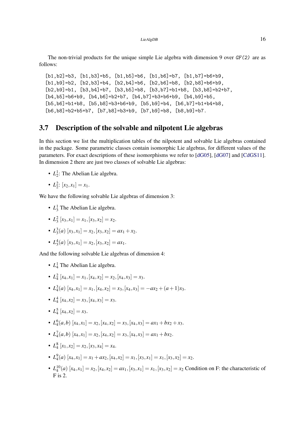<span id="page-16-1"></span>The non-trivial products for the unique simple Lie algebra with dimension 9 over  $GF(2)$  are as follows:

 $[b1,b2]=b3, [b1,b3]=b5, [b1,b5]=b6, [b1,b6]=b7, [b1,b7]=b6+b9,$  $[b1,b9]=b2$ ,  $[b2,b3]=b4$ ,  $[b2,b4]=b6$ ,  $[b2,b6]=b8$ ,  $[b2,b8]=b6+b9$ , [b2,b9]=b1, [b3,b4]=b7, [b3,b5]=b8, [b3,b7]=b1+b8, [b3,b8]=b2+b7, [b4,b5]=b6+b9, [b4,b6]=b2+b7, [b4,b7]=b3+b6+b9, [b4,b9]=b5, [b5,b6]=b1+b8, [b5,b8]=b3+b6+b9, [b5,b9]=b4, [b6,b7]=b1+b4+b8,  $[b6, b8] = b2+b5+b7$ ,  $[b7, b8] = b3+b9$ ,  $[b7, b9] = b8$ ,  $[b8, b9] = b7$ .

#### <span id="page-16-0"></span>3.7 Description of the solvable and nilpotent Lie algebras

In this section we list the multiplication tables of the nilpotent and solvable Lie algebras contained in the package. Some parametric classes contain isomorphic Lie algebras, for different values of the parameters. For exact descriptions of these isomorphisms we refer to [\[dG05\]](#page-19-4), [\[dG07\]](#page-19-5) and [\[CdGS11\]](#page-19-6). In dimension 2 there are just two classes of solvable Lie algebras:

- $L_2^1$ : The Abelian Lie algebra.
- $L_2^2$ :  $[x_2, x_1] = x_1$ .

We have the following solvable Lie algebras of dimension 3:

- $L_3^1$  The Abelian Lie algebra.
- $L_3^2$   $[x_3, x_1] = x_1, [x_3, x_2] = x_2.$
- $L_3^3(a)$   $[x_3, x_1] = x_2, [x_3, x_2] = ax_1 + x_2.$
- $L_3^4(a)$   $[x_3, x_1] = x_2, [x_3, x_2] = ax_1.$

And the following solvable Lie algebras of dimension 4:

- $L_4^1$  The Abelian Lie algebra.
- $L_4^2$   $[x_4, x_1] = x_1, [x_4, x_2] = x_2, [x_4, x_3] = x_3.$
- $L_4^3(a)$   $[x_4, x_1] = x_1, [x_4, x_2] = x_3, [x_4, x_3] = -ax_2 + (a+1)x_3.$
- $L_4^4$   $[x_4, x_2] = x_3, [x_4, x_3] = x_3.$
- $L_4^5[x_4,x_2]=x_3.$
- $L_4^6(a,b)$   $[x_4, x_1] = x_2, [x_4, x_2] = x_3, [x_4, x_3] = ax_1 + bx_2 + x_3.$
- $L_4^7(a,b)$   $[x_4, x_1] = x_2$ ,  $[x_4, x_2] = x_3$ ,  $[x_4, x_3] = ax_1 + bx_2$ .
- $L_4^8$   $[x_1, x_2] = x_2, [x_3, x_4] = x_4.$
- $L_4^9(a)$   $[x_4, x_1] = x_1 + ax_2, [x_4, x_2] = x_1, [x_3, x_1] = x_1, [x_3, x_2] = x_2.$
- $L_4^{10}(a)$   $[x_4, x_1] = x_2, [x_4, x_2] = ax_1, [x_3, x_1] = x_1, [x_3, x_2] = x_2$  Condition on F: the characteristic of F is 2.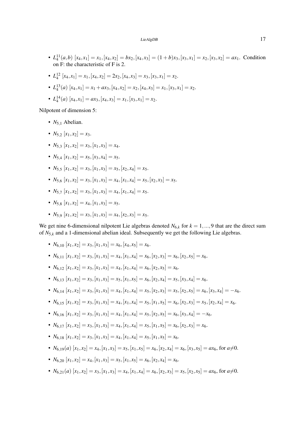- $L_4^{11}(a,b)$   $[x_4,x_1]=x_1, [x_4,x_2]=bx_2, [x_4,x_3]=(1+b)x_3, [x_3,x_1]=x_2, [x_3,x_2]=ax_1$ . Condition on F: the characteristic of F is 2.
- $L_4^{12}[x_4, x_1] = x_1, [x_4, x_2] = 2x_2, [x_4, x_3] = x_3, [x_3, x_1] = x_2.$
- $\bullet$   $L_4^{13}(a)$   $[x_4, x_1] = x_1 + ax_3, [x_4, x_2] = x_2, [x_4, x_3] = x_1, [x_3, x_1] = x_2.$
- $L_4^{14}(a)$   $[x_4, x_1] = ax_3, [x_4, x_3] = x_1, [x_3, x_1] = x_2.$

Nilpotent of dimension 5:

- $N_{5,1}$  Abelian.
- $N_5$ ,  $[x_1, x_2] = x_3$ .
- $N_5$  3  $[x_1, x_2] = x_3$ ,  $[x_1, x_3] = x_4$ .
- $N_5$ <sub>4</sub>  $[x_1, x_2] = x_5$ ,  $[x_3, x_4] = x_5$ .
- $N_5$   $\{x_1, x_2\} = x_3$ ,  $[x_1, x_3] = x_5$ ,  $[x_2, x_4] = x_5$ .
- $N_5$  6  $[x_1, x_2] = x_3$ ,  $[x_1, x_3] = x_4$ ,  $[x_1, x_4] = x_5$ ,  $[x_2, x_3] = x_5$ .
- $N_5$ <sup> $\tau$ </sup>  $[x_1, x_2] = x_3$ ,  $[x_1, x_3] = x_4$ ,  $[x_1, x_4] = x_5$ .
- $N_5$ <sup>8</sup>,  $[x_1, x_2] = x_4$ ,  $[x_1, x_3] = x_5$ .
- $N_5$   $\circ$   $[x_1, x_2] = x_3$ ,  $[x_1, x_3] = x_4$ ,  $[x_2, x_3] = x_5$ .

We get nine 6-dimensional nilpotent Lie algebras denoted  $N_{6,k}$  for  $k = 1, ..., 9$  that are the direct sum of *N*5,*<sup>k</sup>* and a 1-dimensional abelian ideal. Subsequently we get the following Lie algebras.

- $N_{6,10}$   $[x_1, x_2] = x_3$ ,  $[x_1, x_3] = x_6$ ,  $[x_4, x_5] = x_6$ .
- $N_{6,11}$   $[x_1, x_2] = x_3$ ,  $[x_1, x_3] = x_4$ ,  $[x_1, x_4] = x_6$ ,  $[x_2, x_3] = x_6$ ,  $[x_2, x_5] = x_6$ .
- $N_{6,12}$   $[x_1, x_2] = x_3$ ,  $[x_1, x_3] = x_4$ ,  $[x_1, x_4] = x_6$ ,  $[x_2, x_5] = x_6$ .
- *N*<sub>6,13</sub>  $[x_1, x_2] = x_3$ ,  $[x_1, x_3] = x_5$ ,  $[x_1, x_5] = x_6$ ,  $[x_2, x_4] = x_5$ ,  $[x_3, x_4] = x_6$ .
- $N_{6,14}[x_1,x_2]=x_3, [x_1,x_3]=x_4, [x_1,x_4]=x_5, [x_2,x_3]=x_5, [x_2,x_5]=x_6, [x_3,x_4]=-x_6.$
- $N_{6,15}[x_1,x_2]=x_3, [x_1,x_3]=x_4, [x_1,x_4]=x_5, [x_1,x_5]=x_6, [x_2,x_3]=x_5, [x_2,x_4]=x_6.$
- $N_{6,16}$   $[x_1, x_2] = x_3$ ,  $[x_1, x_3] = x_4$ ,  $[x_1, x_4] = x_5$ ,  $[x_2, x_5] = x_6$ ,  $[x_3, x_4] = -x_6$ .
- *N*<sub>6,17</sub>  $[x_1, x_2] = x_3$ ,  $[x_1, x_3] = x_4$ ,  $[x_1, x_4] = x_5$ ,  $[x_1, x_5] = x_6$ ,  $[x_2, x_3] = x_6$ .
- $N_{6,18}$   $[x_1, x_2] = x_3$ ,  $[x_1, x_3] = x_4$ ,  $[x_1, x_4] = x_5$ ,  $[x_1, x_5] = x_6$ .
- $N_{6,19}(a)$   $[x_1, x_2] = x_4$ ,  $[x_1, x_3] = x_5$ ,  $[x_1, x_5] = x_6$ ,  $[x_2, x_4] = x_6$ ,  $[x_3, x_5] = ax_6$ , for  $a \neq 0$ .
- $N_{6,20}$   $[x_1, x_2] = x_4$ ,  $[x_1, x_3] = x_5$ ,  $[x_1, x_5] = x_6$ ,  $[x_2, x_4] = x_6$ .
- $N_{6,21}(a)$   $[x_1, x_2] = x_3$ ,  $[x_1, x_3] = x_4$ ,  $[x_1, x_4] = x_6$ ,  $[x_2, x_3] = x_5$ ,  $[x_2, x_5] = ax_6$ , for  $a \neq 0$ .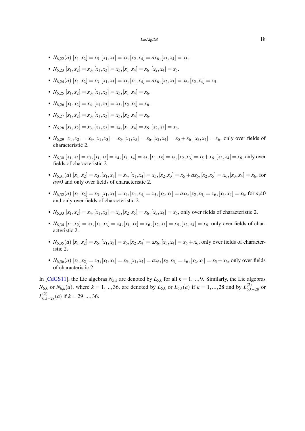- <span id="page-18-0"></span>•  $N_{6,22}(a)$   $[x_1,x_2]=x_5, [x_1,x_3]=x_6, [x_2,x_4]=ax_6, [x_3,x_4]=x_5.$
- $N_{6,23}$   $[x_1, x_2] = x_3$ ,  $[x_1, x_3] = x_5$ ,  $[x_1, x_4] = x_6$ ,  $[x_2, x_4] = x_5$ .
- $N_{6,24}(a)$   $[x_1, x_2] = x_3$ ,  $[x_1, x_3] = x_5$ ,  $[x_1, x_4] = ax_6$ ,  $[x_2, x_3] = x_6$ ,  $[x_2, x_4] = x_5$ .
- $N_{6,25}$   $[x_1, x_2] = x_3$ ,  $[x_1, x_3] = x_5$ ,  $[x_1, x_4] = x_6$ .
- $N_{6,26}$   $[x_1, x_2] = x_4, [x_1, x_3] = x_5, [x_2, x_3] = x_6.$
- $N_{6,27}$   $[x_1, x_2] = x_3$ ,  $[x_1, x_3] = x_5$ ,  $[x_2, x_4] = x_6$ .
- $N_{6,28}$   $[x_1, x_2] = x_3$ ,  $[x_1, x_3] = x_4$ ,  $[x_1, x_4] = x_5$ ,  $[x_2, x_3] = x_6$ .
- $N_{6,29}$   $[x_1, x_2] = x_3$ ,  $[x_1, x_3] = x_5$ ,  $[x_1, x_5] = x_6$ ,  $[x_2, x_4] = x_5 + x_6$ ,  $[x_3, x_4] = x_6$ , only over fields of characteristic 2.
- $N_{6,30}[x_1,x_2]=x_3, [x_1,x_3]=x_4, [x_1,x_4]=x_5, [x_1,x_5]=x_6, [x_2,x_3]=x_5+x_6, [x_2,x_4]=x_6$ , only over fields of characteristic 2.
- $N_{6,31}(a)$   $[x_1, x_2] = x_3$ ,  $[x_1, x_3] = x_4$ ,  $[x_1, x_4] = x_5$ ,  $[x_2, x_3] = x_5 + ax_6$ ,  $[x_2, x_5] = x_6$ ,  $[x_3, x_4] = x_6$ , for  $a\neq 0$  and only over fields of characteristic 2.
- $N_{6,32}(a)$   $[x_1, x_2] = x_3$ ,  $[x_1, x_3] = x_4$ ,  $[x_1, x_4] = x_5$ ,  $[x_2, x_3] = ax_6$ ,  $[x_2, x_5] = x_6$ ,  $[x_3, x_4] = x_6$ , for  $a \neq 0$ and only over fields of characteristic 2.
- $N_{6,33}$   $[x_1, x_2] = x_4$ ,  $[x_1, x_3] = x_5$ ,  $[x_2, x_5] = x_6$ ,  $[x_3, x_4] = x_6$ , only over fields of characteristic 2.
- $N_{6,34}$   $[x_1, x_2] = x_3$ ,  $[x_1, x_3] = x_4$ ,  $[x_1, x_5] = x_6$ ,  $[x_2, x_3] = x_5$ ,  $[x_2, x_4] = x_6$ , only over fields of characteristic 2.
- $N_{6,35}(a)$   $[x_1, x_2] = x_5, [x_1, x_3] = x_6, [x_2, x_4] = ax_6, [x_3, x_4] = x_5 + x_6$ , only over fields of characteristic 2.
- $N_{6,36}(a)$   $[x_1,x_2]=x_3, [x_1,x_3]=x_5, [x_1,x_4]=ax_6, [x_2,x_3]=x_6, [x_2,x_4]=x_5+x_6$ , only over fields of characteristic 2.

In [\[CdGS11\]](#page-19-6), the Lie algebras  $N_{5,k}$  are denoted by  $L_{5,k}$  for all  $k = 1, ..., 9$ . Similarly, the Lie algebras *N*<sub>6,*k*</sub> or *N*<sub>6,*k*</sub>(*a*), where *k* = 1,...,36, are denoted by *L*<sub>6,*k*</sub> or *L*<sub>6,*k*</sub>(*a*) if *k* = 1,...,28 and by *L*<sub>6,*k*−28</sub> or  $L_{6,k-28}^{(2)}(a)$  if  $k = 29, ..., 36$ .